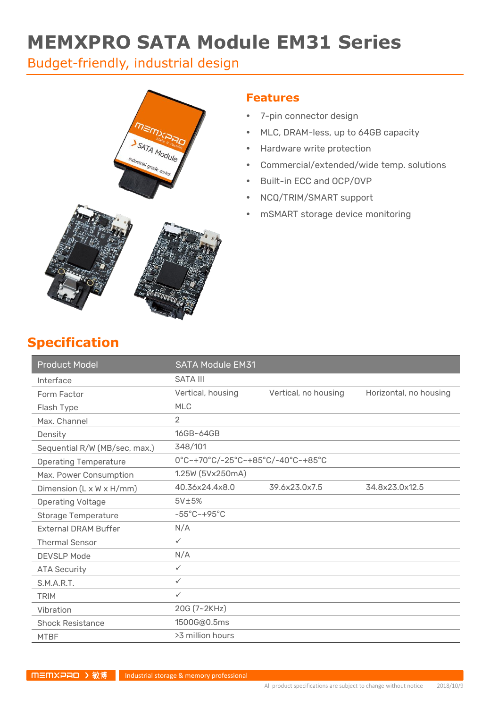# **MEMXPRO SATA Module EM31 Series**

Budget-friendly, industrial design



### **Features**

- 7-pin connector design
- MLC, DRAM-less, up to 64GB capacity
- Hardware write protection
- Commercial/extended/wide temp. solutions
- Built-in ECC and OCP/OVP
- NCQ/TRIM/SMART support
- mSMART storage device monitoring

### **Specification**

| <b>Product Model</b>                 | <b>SATA Module EM31</b>           |                      |                        |
|--------------------------------------|-----------------------------------|----------------------|------------------------|
| Interface                            | <b>SATA III</b>                   |                      |                        |
| Form Factor                          | Vertical, housing                 | Vertical, no housing | Horizontal, no housing |
| Flash Type                           | <b>MLC</b>                        |                      |                        |
| Max. Channel                         | $\overline{2}$                    |                      |                        |
| Density                              | 16GB~64GB                         |                      |                        |
| Sequential R/W (MB/sec, max.)        | 348/101                           |                      |                        |
| <b>Operating Temperature</b>         | 0°C~+70°C/-25°C~+85°C/-40°C~+85°C |                      |                        |
| Max. Power Consumption               | 1.25W (5Vx250mA)                  |                      |                        |
| Dimension $(L \times W \times H/mm)$ | 40.36x24.4x8.0                    | 39.6x23.0x7.5        | 34.8x23.0x12.5         |
| <b>Operating Voltage</b>             | 5V±5%                             |                      |                        |
| <b>Storage Temperature</b>           | $-55^{\circ}$ C $-+95^{\circ}$ C  |                      |                        |
| <b>External DRAM Buffer</b>          | N/A                               |                      |                        |
| <b>Thermal Sensor</b>                | $\checkmark$                      |                      |                        |
| <b>DEVSLP Mode</b>                   | N/A                               |                      |                        |
| <b>ATA Security</b>                  | $\checkmark$                      |                      |                        |
| S.M.A.R.T.                           | $\checkmark$                      |                      |                        |
| <b>TRIM</b>                          | $\checkmark$                      |                      |                        |
| Vibration                            | 20G (7~2KHz)                      |                      |                        |
| <b>Shock Resistance</b>              | 1500G@0.5ms                       |                      |                        |
| <b>MTBF</b>                          | >3 million hours                  |                      |                        |